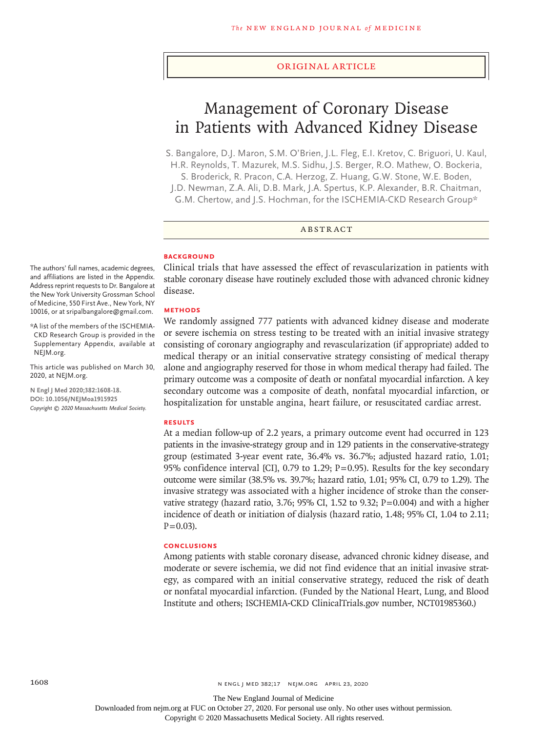#### Original Article

# Management of Coronary Disease in Patients with Advanced Kidney Disease

S. Bangalore, D.J. Maron, S.M. O'Brien, J.L. Fleg, E.I. Kretov, C. Briguori, U. Kaul, H.R. Reynolds, T. Mazurek, M.S. Sidhu, J.S. Berger, R.O. Mathew, O. Bockeria,

S. Broderick, R. Pracon, C.A. Herzog, Z. Huang, G.W. Stone, W.E. Boden,

J.D. Newman, Z.A. Ali, D.B. Mark, J.A. Spertus, K.P. Alexander, B.R. Chaitman,

G.M. Chertow, and J.S. Hochman, for the ISCHEMIA-CKD Research Group\*

# ABSTRACT

#### **BACKGROUND**

Clinical trials that have assessed the effect of revascularization in patients with stable coronary disease have routinely excluded those with advanced chronic kidney disease.

#### **METHODS**

We randomly assigned 777 patients with advanced kidney disease and moderate or severe ischemia on stress testing to be treated with an initial invasive strategy consisting of coronary angiography and revascularization (if appropriate) added to medical therapy or an initial conservative strategy consisting of medical therapy alone and angiography reserved for those in whom medical therapy had failed. The primary outcome was a composite of death or nonfatal myocardial infarction. A key secondary outcome was a composite of death, nonfatal myocardial infarction, or hospitalization for unstable angina, heart failure, or resuscitated cardiac arrest.

#### **RESULTS**

At a median follow-up of 2.2 years, a primary outcome event had occurred in 123 patients in the invasive-strategy group and in 129 patients in the conservative-strategy group (estimated 3-year event rate, 36.4% vs. 36.7%; adjusted hazard ratio, 1.01; 95% confidence interval [CI], 0.79 to 1.29; P=0.95). Results for the key secondary outcome were similar (38.5% vs. 39.7%; hazard ratio, 1.01; 95% CI, 0.79 to 1.29). The invasive strategy was associated with a higher incidence of stroke than the conservative strategy (hazard ratio, 3.76; 95% CI, 1.52 to 9.32;  $P=0.004$ ) and with a higher incidence of death or initiation of dialysis (hazard ratio, 1.48; 95% CI, 1.04 to 2.11;  $P = 0.03$ .

#### **CONCLUSIONS**

Among patients with stable coronary disease, advanced chronic kidney disease, and moderate or severe ischemia, we did not find evidence that an initial invasive strategy, as compared with an initial conservative strategy, reduced the risk of death or nonfatal myocardial infarction. (Funded by the National Heart, Lung, and Blood Institute and others; ISCHEMIA-CKD ClinicalTrials.gov number, NCT01985360.)

The authors' full names, academic degrees, and affiliations are listed in the Appendix. Address reprint requests to Dr. Bangalore at the New York University Grossman School of Medicine, 550 First Ave., New York, NY 10016, or at sripalbangalore@gmail.com.

\*A list of the members of the ISCHEMIA-CKD Research Group is provided in the Supplementary Appendix, available at NEJM.org.

This article was published on March 30, 2020, at NEJM.org.

**N Engl J Med 2020;382:1608-18. DOI: 10.1056/NEJMoa1915925** *Copyright © 2020 Massachusetts Medical Society.*

Downloaded from nejm.org at FUC on October 27, 2020. For personal use only. No other uses without permission.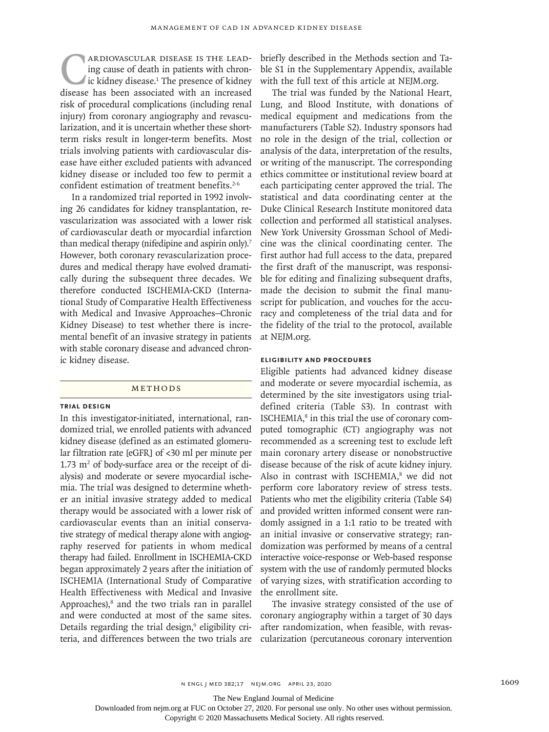**CARDIOVASCULAR DISEASE IS THE LEAD-**<br>ing cause of death in patients with chron-<br>ic kidney disease.<sup>1</sup> The presence of kidney<br>disease has been associated with an increased ing cause of death in patients with chronic kidney disease.<sup>1</sup> The presence of kidney disease has been associated with an increased risk of procedural complications (including renal injury) from coronary angiography and revascularization, and it is uncertain whether these shortterm risks result in longer-term benefits. Most trials involving patients with cardiovascular disease have either excluded patients with advanced kidney disease or included too few to permit a confident estimation of treatment benefits.<sup>2-6</sup>

In a randomized trial reported in 1992 involving 26 candidates for kidney transplantation, revascularization was associated with a lower risk of cardiovascular death or myocardial infarction than medical therapy (nifedipine and aspirin only).<sup>7</sup> However, both coronary revascularization procedures and medical therapy have evolved dramatically during the subsequent three decades. We therefore conducted ISCHEMIA-CKD (International Study of Comparative Health Effectiveness with Medical and Invasive Approaches–Chronic Kidney Disease) to test whether there is incremental benefit of an invasive strategy in patients with stable coronary disease and advanced chronic kidney disease.

#### Methods

#### **Trial Design**

In this investigator-initiated, international, randomized trial, we enrolled patients with advanced kidney disease (defined as an estimated glomerular filtration rate [eGFR] of <30 ml per minute per  $1.73 \text{ m}^2$  of body-surface area or the receipt of dialysis) and moderate or severe myocardial ischemia. The trial was designed to determine whether an initial invasive strategy added to medical therapy would be associated with a lower risk of cardiovascular events than an initial conservative strategy of medical therapy alone with angiography reserved for patients in whom medical therapy had failed. Enrollment in ISCHEMIA-CKD began approximately 2 years after the initiation of ISCHEMIA (International Study of Comparative Health Effectiveness with Medical and Invasive Approaches), $<sup>8</sup>$  and the two trials ran in parallel</sup> and were conducted at most of the same sites. Details regarding the trial design,<sup>9</sup> eligibility criteria, and differences between the two trials are

briefly described in the Methods section and Table S1 in the Supplementary Appendix, available with the full text of this article at NEJM.org.

The trial was funded by the National Heart, Lung, and Blood Institute, with donations of medical equipment and medications from the manufacturers (Table S2). Industry sponsors had no role in the design of the trial, collection or analysis of the data, interpretation of the results, or writing of the manuscript. The corresponding ethics committee or institutional review board at each participating center approved the trial. The statistical and data coordinating center at the Duke Clinical Research Institute monitored data collection and performed all statistical analyses. New York University Grossman School of Medicine was the clinical coordinating center. The first author had full access to the data, prepared the first draft of the manuscript, was responsible for editing and finalizing subsequent drafts, made the decision to submit the final manuscript for publication, and vouches for the accuracy and completeness of the trial data and for the fidelity of the trial to the protocol, available at NEJM.org.

# **Eligibility and Procedures**

Eligible patients had advanced kidney disease and moderate or severe myocardial ischemia, as determined by the site investigators using trialdefined criteria (Table S3). In contrast with ISCHEMIA,<sup>8</sup> in this trial the use of coronary computed tomographic (CT) angiography was not recommended as a screening test to exclude left main coronary artery disease or nonobstructive disease because of the risk of acute kidney injury. Also in contrast with ISCHEMIA,<sup>8</sup> we did not perform core laboratory review of stress tests. Patients who met the eligibility criteria (Table S4) and provided written informed consent were randomly assigned in a 1:1 ratio to be treated with an initial invasive or conservative strategy; randomization was performed by means of a central interactive voice-response or Web-based response system with the use of randomly permuted blocks of varying sizes, with stratification according to the enrollment site.

The invasive strategy consisted of the use of coronary angiography within a target of 30 days after randomization, when feasible, with revascularization (percutaneous coronary intervention

The New England Journal of Medicine

Downloaded from nejm.org at FUC on October 27, 2020. For personal use only. No other uses without permission.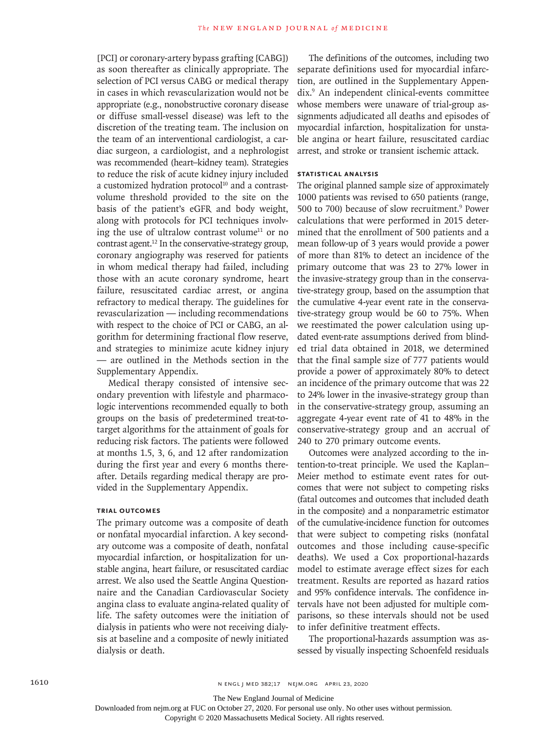[PCI] or coronary-artery bypass grafting [CABG]) as soon thereafter as clinically appropriate. The selection of PCI versus CABG or medical therapy in cases in which revascularization would not be appropriate (e.g., nonobstructive coronary disease or diffuse small-vessel disease) was left to the discretion of the treating team. The inclusion on the team of an interventional cardiologist, a cardiac surgeon, a cardiologist, and a nephrologist was recommended (heart–kidney team). Strategies to reduce the risk of acute kidney injury included a customized hydration protocol<sup>10</sup> and a contrastvolume threshold provided to the site on the basis of the patient's eGFR and body weight, along with protocols for PCI techniques involving the use of ultralow contrast volume<sup>11</sup> or no contrast agent.12 In the conservative-strategy group, coronary angiography was reserved for patients in whom medical therapy had failed, including those with an acute coronary syndrome, heart failure, resuscitated cardiac arrest, or angina refractory to medical therapy. The guidelines for revascularization — including recommendations with respect to the choice of PCI or CABG, an algorithm for determining fractional flow reserve, and strategies to minimize acute kidney injury — are outlined in the Methods section in the Supplementary Appendix.

Medical therapy consisted of intensive secondary prevention with lifestyle and pharmacologic interventions recommended equally to both groups on the basis of predetermined treat-totarget algorithms for the attainment of goals for reducing risk factors. The patients were followed at months 1.5, 3, 6, and 12 after randomization during the first year and every 6 months thereafter. Details regarding medical therapy are provided in the Supplementary Appendix.

## **Trial Outcomes**

The primary outcome was a composite of death or nonfatal myocardial infarction. A key secondary outcome was a composite of death, nonfatal myocardial infarction, or hospitalization for unstable angina, heart failure, or resuscitated cardiac arrest. We also used the Seattle Angina Questionnaire and the Canadian Cardiovascular Society angina class to evaluate angina-related quality of life. The safety outcomes were the initiation of dialysis in patients who were not receiving dialysis at baseline and a composite of newly initiated dialysis or death.

The definitions of the outcomes, including two separate definitions used for myocardial infarction, are outlined in the Supplementary Appendix.9 An independent clinical-events committee whose members were unaware of trial-group assignments adjudicated all deaths and episodes of myocardial infarction, hospitalization for unstable angina or heart failure, resuscitated cardiac arrest, and stroke or transient ischemic attack.

# **Statistical Analysis**

The original planned sample size of approximately 1000 patients was revised to 650 patients (range, 500 to 700) because of slow recruitment.<sup>9</sup> Power calculations that were performed in 2015 determined that the enrollment of 500 patients and a mean follow-up of 3 years would provide a power of more than 81% to detect an incidence of the primary outcome that was 23 to 27% lower in the invasive-strategy group than in the conservative-strategy group, based on the assumption that the cumulative 4-year event rate in the conservative-strategy group would be 60 to 75%. When we reestimated the power calculation using updated event-rate assumptions derived from blinded trial data obtained in 2018, we determined that the final sample size of 777 patients would provide a power of approximately 80% to detect an incidence of the primary outcome that was 22 to 24% lower in the invasive-strategy group than in the conservative-strategy group, assuming an aggregate 4-year event rate of 41 to 48% in the conservative-strategy group and an accrual of 240 to 270 primary outcome events.

Outcomes were analyzed according to the intention-to-treat principle. We used the Kaplan– Meier method to estimate event rates for outcomes that were not subject to competing risks (fatal outcomes and outcomes that included death in the composite) and a nonparametric estimator of the cumulative-incidence function for outcomes that were subject to competing risks (nonfatal outcomes and those including cause-specific deaths). We used a Cox proportional-hazards model to estimate average effect sizes for each treatment. Results are reported as hazard ratios and 95% confidence intervals. The confidence intervals have not been adjusted for multiple comparisons, so these intervals should not be used to infer definitive treatment effects.

The proportional-hazards assumption was assessed by visually inspecting Schoenfeld residuals

The New England Journal of Medicine

Downloaded from nejm.org at FUC on October 27, 2020. For personal use only. No other uses without permission.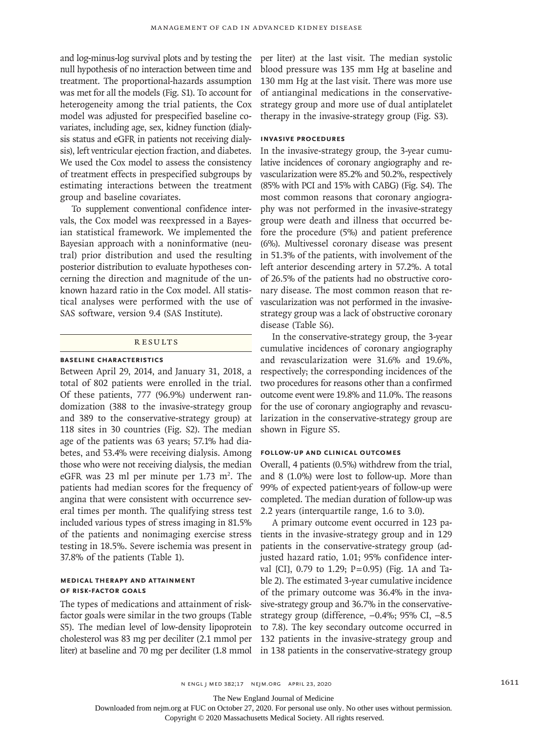and log-minus-log survival plots and by testing the null hypothesis of no interaction between time and treatment. The proportional-hazards assumption was met for all the models (Fig. S1). To account for heterogeneity among the trial patients, the Cox model was adjusted for prespecified baseline covariates, including age, sex, kidney function (dialysis status and eGFR in patients not receiving dialysis), left ventricular ejection fraction, and diabetes. We used the Cox model to assess the consistency of treatment effects in prespecified subgroups by estimating interactions between the treatment group and baseline covariates.

To supplement conventional confidence intervals, the Cox model was reexpressed in a Bayesian statistical framework. We implemented the Bayesian approach with a noninformative (neutral) prior distribution and used the resulting posterior distribution to evaluate hypotheses concerning the direction and magnitude of the unknown hazard ratio in the Cox model. All statistical analyses were performed with the use of SAS software, version 9.4 (SAS Institute).

#### **RESULTS**

# **Baseline Characteristics**

Between April 29, 2014, and January 31, 2018, a total of 802 patients were enrolled in the trial. Of these patients, 777 (96.9%) underwent randomization (388 to the invasive-strategy group and 389 to the conservative-strategy group) at 118 sites in 30 countries (Fig. S2). The median age of the patients was 63 years; 57.1% had diabetes, and 53.4% were receiving dialysis. Among those who were not receiving dialysis, the median eGFR was 23 ml per minute per  $1.73 \text{ m}^2$ . The patients had median scores for the frequency of angina that were consistent with occurrence several times per month. The qualifying stress test included various types of stress imaging in 81.5% of the patients and nonimaging exercise stress testing in 18.5%. Severe ischemia was present in 37.8% of the patients (Table 1).

## **Medical Therapy and Attainment of Risk-Factor Goals**

The types of medications and attainment of riskfactor goals were similar in the two groups (Table S5). The median level of low-density lipoprotein cholesterol was 83 mg per deciliter (2.1 mmol per liter) at baseline and 70 mg per deciliter (1.8 mmol per liter) at the last visit. The median systolic blood pressure was 135 mm Hg at baseline and 130 mm Hg at the last visit. There was more use of antianginal medications in the conservativestrategy group and more use of dual antiplatelet therapy in the invasive-strategy group (Fig. S3).

## **Invasive Procedures**

In the invasive-strategy group, the 3-year cumulative incidences of coronary angiography and revascularization were 85.2% and 50.2%, respectively (85% with PCI and 15% with CABG) (Fig. S4). The most common reasons that coronary angiography was not performed in the invasive-strategy group were death and illness that occurred before the procedure (5%) and patient preference (6%). Multivessel coronary disease was present in 51.3% of the patients, with involvement of the left anterior descending artery in 57.2%. A total of 26.5% of the patients had no obstructive coronary disease. The most common reason that revascularization was not performed in the invasivestrategy group was a lack of obstructive coronary disease (Table S6).

In the conservative-strategy group, the 3-year cumulative incidences of coronary angiography and revascularization were 31.6% and 19.6%, respectively; the corresponding incidences of the two procedures for reasons other than a confirmed outcome event were 19.8% and 11.0%. The reasons for the use of coronary angiography and revascularization in the conservative-strategy group are shown in Figure S5.

#### **Follow-up and Clinical Outcomes**

Overall, 4 patients (0.5%) withdrew from the trial, and 8 (1.0%) were lost to follow-up. More than 99% of expected patient-years of follow-up were completed. The median duration of follow-up was 2.2 years (interquartile range, 1.6 to 3.0).

A primary outcome event occurred in 123 patients in the invasive-strategy group and in 129 patients in the conservative-strategy group (adjusted hazard ratio, 1.01; 95% confidence interval [CI], 0.79 to 1.29; P=0.95) (Fig. 1A and Table 2). The estimated 3-year cumulative incidence of the primary outcome was 36.4% in the invasive-strategy group and 36.7% in the conservativestrategy group (difference, −0.4%; 95% CI, −8.5 to 7.8). The key secondary outcome occurred in 132 patients in the invasive-strategy group and in 138 patients in the conservative-strategy group

The New England Journal of Medicine

Downloaded from nejm.org at FUC on October 27, 2020. For personal use only. No other uses without permission.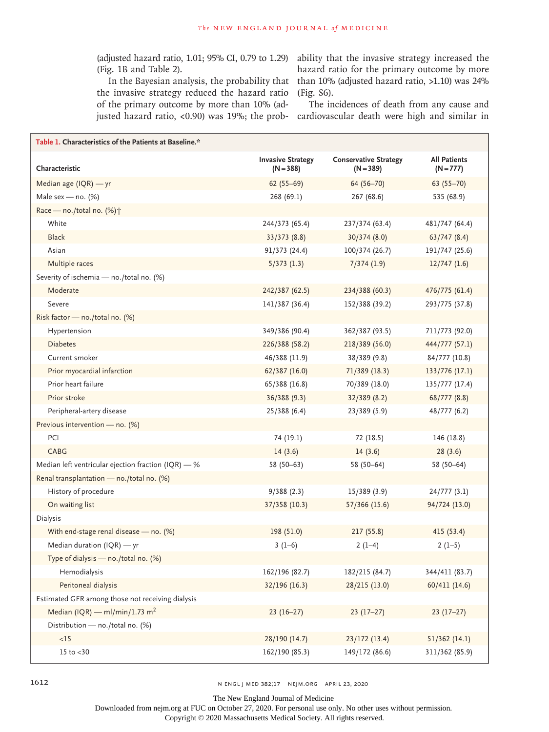(adjusted hazard ratio, 1.01; 95% CI, 0.79 to 1.29) ability that the invasive strategy increased the (Fig. 1B and Table 2).

In the Bayesian analysis, the probability that the invasive strategy reduced the hazard ratio of the primary outcome by more than 10% (ad-

hazard ratio for the primary outcome by more than 10% (adjusted hazard ratio, >1.10) was 24% (Fig. S6).

justed hazard ratio, <0.90) was 19%; the prob-cardiovascular death were high and similar in The incidences of death from any cause and

| Table 1. Characteristics of the Patients at Baseline.* |                                         |                                             |                                    |  |  |  |  |  |
|--------------------------------------------------------|-----------------------------------------|---------------------------------------------|------------------------------------|--|--|--|--|--|
| Characteristic                                         | <b>Invasive Strategy</b><br>$(N = 388)$ | <b>Conservative Strategy</b><br>$(N = 389)$ | <b>All Patients</b><br>$(N = 777)$ |  |  |  |  |  |
| Median age (IQR) - yr                                  | $62(55-69)$                             | 64 (56-70)                                  | $63(55 - 70)$                      |  |  |  |  |  |
| Male sex - no. $(%)$                                   | 268 (69.1)                              | 267 (68.6)                                  | 535 (68.9)                         |  |  |  |  |  |
| Race - no./total no. (%) <sup>+</sup>                  |                                         |                                             |                                    |  |  |  |  |  |
| White                                                  | 244/373 (65.4)                          | 237/374 (63.4)                              | 481/747 (64.4)                     |  |  |  |  |  |
| <b>Black</b>                                           | 33/373(8.8)                             | 30/374 (8.0)                                | 63/747(8.4)                        |  |  |  |  |  |
| Asian                                                  | 91/373 (24.4)                           | 100/374 (26.7)                              | 191/747 (25.6)                     |  |  |  |  |  |
| Multiple races                                         | 5/373(1.3)                              | 7/374(1.9)                                  | $12/747$ $(1.6)$                   |  |  |  |  |  |
| Severity of ischemia - no./total no. (%)               |                                         |                                             |                                    |  |  |  |  |  |
| Moderate                                               | 242/387 (62.5)                          | 234/388 (60.3)                              | 476/775 (61.4)                     |  |  |  |  |  |
| Severe                                                 | 141/387 (36.4)                          | 152/388 (39.2)                              | 293/775 (37.8)                     |  |  |  |  |  |
| Risk factor - no./total no. (%)                        |                                         |                                             |                                    |  |  |  |  |  |
| Hypertension                                           | 349/386 (90.4)                          | 362/387 (93.5)                              | 711/773 (92.0)                     |  |  |  |  |  |
| <b>Diabetes</b>                                        | 226/388 (58.2)                          | 218/389 (56.0)                              | 444/777 (57.1)                     |  |  |  |  |  |
| Current smoker                                         | 46/388 (11.9)                           | 38/389 (9.8)                                | 84/777 (10.8)                      |  |  |  |  |  |
| Prior myocardial infarction                            | 62/387 (16.0)                           | 71/389 (18.3)                               | 133/776 (17.1)                     |  |  |  |  |  |
| Prior heart failure                                    | 65/388 (16.8)                           | 70/389 (18.0)                               | 135/777 (17.4)                     |  |  |  |  |  |
| Prior stroke                                           | 36/388 (9.3)                            | 32/389 (8.2)                                | 68/777(8.8)                        |  |  |  |  |  |
| Peripheral-artery disease                              | 25/388(6.4)                             | 23/389 (5.9)                                | 48/777 (6.2)                       |  |  |  |  |  |
| Previous intervention - no. (%)                        |                                         |                                             |                                    |  |  |  |  |  |
| PCI                                                    | 74 (19.1)                               | 72 (18.5)                                   | 146 (18.8)                         |  |  |  |  |  |
| CABG                                                   | 14(3.6)                                 | 14(3.6)                                     | 28(3.6)                            |  |  |  |  |  |
| Median left ventricular ejection fraction (IQR) - %    | $58(50-63)$                             | 58 (50-64)                                  | 58 (50-64)                         |  |  |  |  |  |
| Renal transplantation - no./total no. (%)              |                                         |                                             |                                    |  |  |  |  |  |
| History of procedure                                   | 9/388(2.3)                              | 15/389 (3.9)                                | 24/777(3.1)                        |  |  |  |  |  |
| On waiting list                                        | 37/358 (10.3)                           | 57/366 (15.6)                               | 94/724 (13.0)                      |  |  |  |  |  |
| Dialysis                                               |                                         |                                             |                                    |  |  |  |  |  |
| With end-stage renal disease - no. (%)                 | 198 (51.0)                              | 217 (55.8)                                  | 415 (53.4)                         |  |  |  |  |  |
| Median duration $( IQR)$ - yr                          | $3(1-6)$                                | $2(1-4)$                                    | $2(1-5)$                           |  |  |  |  |  |
| Type of dialysis $-$ no./total no. (%)                 |                                         |                                             |                                    |  |  |  |  |  |
| Hemodialysis                                           | 162/196 (82.7)                          | 182/215 (84.7)                              | 344/411 (83.7)                     |  |  |  |  |  |
| Peritoneal dialysis                                    | 32/196 (16.3)                           | 28/215 (13.0)                               | 60/411 (14.6)                      |  |  |  |  |  |
| Estimated GFR among those not receiving dialysis       |                                         |                                             |                                    |  |  |  |  |  |
| Median (IQR) — ml/min/1.73 m <sup>2</sup>              | $23(16-27)$                             | $23(17-27)$                                 | $23(17-27)$                        |  |  |  |  |  |
| Distribution - no./total no. (%)                       |                                         |                                             |                                    |  |  |  |  |  |
| <15                                                    | 28/190 (14.7)                           | 23/172 (13.4)                               | 51/362(14.1)                       |  |  |  |  |  |
| $15$ to $<30$                                          | 162/190 (85.3)                          | 149/172 (86.6)                              | 311/362 (85.9)                     |  |  |  |  |  |

1612 n engl j med 382;17 nejm.org April 23, 2020

The New England Journal of Medicine

Downloaded from nejm.org at FUC on October 27, 2020. For personal use only. No other uses without permission.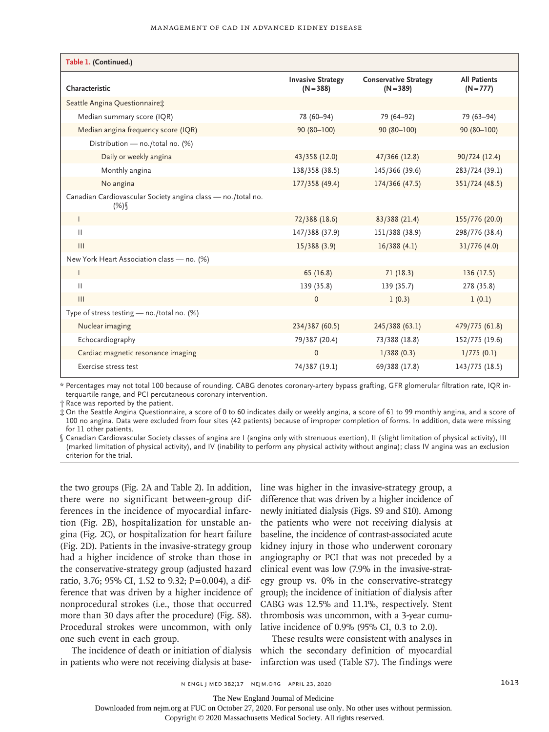| Table 1. (Continued.)                                               |                                         |                                             |                                    |
|---------------------------------------------------------------------|-----------------------------------------|---------------------------------------------|------------------------------------|
| Characteristic                                                      | <b>Invasive Strategy</b><br>$(N = 388)$ | <b>Conservative Strategy</b><br>$(N = 389)$ | <b>All Patients</b><br>$(N = 777)$ |
| Seattle Angina Questionnaire:                                       |                                         |                                             |                                    |
| Median summary score (IQR)                                          | 78 (60-94)                              | 79 (64-92)                                  | 79 (63-94)                         |
| Median angina frequency score (IQR)                                 | $90(80 - 100)$                          | $90(80-100)$                                | $90(80 - 100)$                     |
| Distribution - no./total no. (%)                                    |                                         |                                             |                                    |
| Daily or weekly angina                                              | 43/358 (12.0)                           | 47/366 (12.8)                               | 90/724 (12.4)                      |
| Monthly angina                                                      | 138/358 (38.5)                          | 145/366 (39.6)                              | 283/724 (39.1)                     |
| No angina                                                           | 177/358 (49.4)                          | 174/366 (47.5)                              | 351/724 (48.5)                     |
| Canadian Cardiovascular Society angina class - no./total no.<br>(%) |                                         |                                             |                                    |
| $\mathsf{L}$                                                        | 72/388 (18.6)                           | 83/388 (21.4)                               | 155/776 (20.0)                     |
| $\mathbf{H}$                                                        | 147/388 (37.9)                          | 151/388 (38.9)                              | 298/776 (38.4)                     |
| $\mathbf{III}$                                                      | 15/388(3.9)                             | 16/388(4.1)                                 | 31/776(4.0)                        |
| New York Heart Association class - no. (%)                          |                                         |                                             |                                    |
| $\mathsf{L}$                                                        | 65(16.8)                                | 71(18.3)                                    | 136(17.5)                          |
| $\mathbf{H}$                                                        | 139 (35.8)                              | 139(35.7)                                   | 278 (35.8)                         |
| III                                                                 | $\mathbf{0}$                            | 1(0.3)                                      | 1(0.1)                             |
| Type of stress testing $-$ no./total no. (%)                        |                                         |                                             |                                    |
| Nuclear imaging                                                     | 234/387 (60.5)                          | 245/388 (63.1)                              | 479/775 (61.8)                     |
| Echocardiography                                                    | 79/387 (20.4)                           | 73/388 (18.8)                               | 152/775 (19.6)                     |
| Cardiac magnetic resonance imaging                                  | $\Omega$                                | 1/388(0.3)                                  | 1/775(0.1)                         |
| Exercise stress test                                                | 74/387 (19.1)                           | 69/388 (17.8)                               | 143/775 (18.5)                     |

\* Percentages may not total 100 because of rounding. CABG denotes coronary-artery bypass grafting, GFR glomerular filtration rate, IQR interquartile range, and PCI percutaneous coronary intervention.

† Race was reported by the patient.

‡ On the Seattle Angina Questionnaire, a score of 0 to 60 indicates daily or weekly angina, a score of 61 to 99 monthly angina, and a score of 100 no angina. Data were excluded from four sites (42 patients) because of improper completion of forms. In addition, data were missing for 11 other patients.

§ Canadian Cardiovascular Society classes of angina are I (angina only with strenuous exertion), II (slight limitation of physical activity), III (marked limitation of physical activity), and IV (inability to perform any physical activity without angina); class IV angina was an exclusion criterion for the trial.

the two groups (Fig. 2A and Table 2). In addition, there were no significant between-group differences in the incidence of myocardial infarction (Fig. 2B), hospitalization for unstable angina (Fig. 2C), or hospitalization for heart failure (Fig. 2D). Patients in the invasive-strategy group had a higher incidence of stroke than those in the conservative-strategy group (adjusted hazard ratio, 3.76; 95% CI, 1.52 to 9.32; P=0.004), a difference that was driven by a higher incidence of nonprocedural strokes (i.e., those that occurred more than 30 days after the procedure) (Fig. S8). Procedural strokes were uncommon, with only one such event in each group.

in patients who were not receiving dialysis at base-

line was higher in the invasive-strategy group, a difference that was driven by a higher incidence of newly initiated dialysis (Figs. S9 and S10). Among the patients who were not receiving dialysis at baseline, the incidence of contrast-associated acute kidney injury in those who underwent coronary angiography or PCI that was not preceded by a clinical event was low (7.9% in the invasive-strategy group vs. 0% in the conservative-strategy group); the incidence of initiation of dialysis after CABG was 12.5% and 11.1%, respectively. Stent thrombosis was uncommon, with a 3-year cumulative incidence of 0.9% (95% CI, 0.3 to 2.0).

The incidence of death or initiation of dialysis which the secondary definition of myocardial These results were consistent with analyses in infarction was used (Table S7). The findings were

The New England Journal of Medicine

Downloaded from nejm.org at FUC on October 27, 2020. For personal use only. No other uses without permission.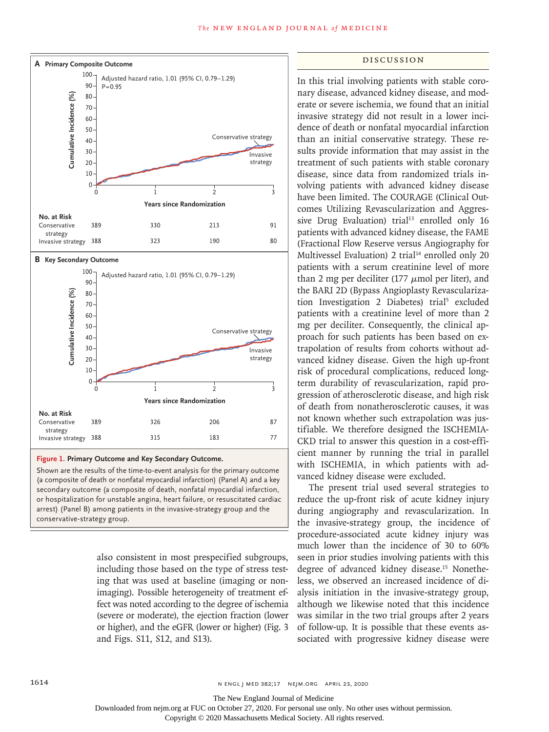

**Figure 1. Primary Outcome and Key Secondary Outcome.**

Shown are the results of the time-to-event analysis for the primary outcome (a composite of death or nonfatal myocardial infarction) (Panel A) and a key secondary outcome (a composite of death, nonfatal myocardial infarction, or hospitalization for unstable angina, heart failure, or resuscitated cardiac arrest) (Panel B) among patients in the invasive-strategy group and the

> also consistent in most prespecified subgroups, including those based on the type of stress testing that was used at baseline (imaging or nonimaging). Possible heterogeneity of treatment effect was noted according to the degree of ischemia (severe or moderate), the ejection fraction (lower or higher), and the eGFR (lower or higher) (Fig. 3 and Figs. S11, S12, and S13).

#### Discussion

In this trial involving patients with stable coronary disease, advanced kidney disease, and moderate or severe ischemia, we found that an initial invasive strategy did not result in a lower incidence of death or nonfatal myocardial infarction than an initial conservative strategy. These results provide information that may assist in the treatment of such patients with stable coronary disease, since data from randomized trials involving patients with advanced kidney disease have been limited. The COURAGE (Clinical Outcomes Utilizing Revascularization and Aggressive Drug Evaluation) trial<sup>13</sup> enrolled only 16 patients with advanced kidney disease, the FAME (Fractional Flow Reserve versus Angiography for Multivessel Evaluation) 2 trial<sup>14</sup> enrolled only 20 patients with a serum creatinine level of more than 2 mg per deciliter (177  $\mu$ mol per liter), and the BARI 2D (Bypass Angioplasty Revascularization Investigation 2 Diabetes) trial<sup>5</sup> excluded patients with a creatinine level of more than 2 mg per deciliter. Consequently, the clinical approach for such patients has been based on extrapolation of results from cohorts without advanced kidney disease. Given the high up-front risk of procedural complications, reduced longterm durability of revascularization, rapid progression of atherosclerotic disease, and high risk of death from nonatherosclerotic causes, it was not known whether such extrapolation was justifiable. We therefore designed the ISCHEMIA-CKD trial to answer this question in a cost-efficient manner by running the trial in parallel with ISCHEMIA, in which patients with advanced kidney disease were excluded.

The present trial used several strategies to reduce the up-front risk of acute kidney injury during angiography and revascularization. In the invasive-strategy group, the incidence of procedure-associated acute kidney injury was much lower than the incidence of 30 to 60% seen in prior studies involving patients with this degree of advanced kidney disease.<sup>15</sup> Nonetheless, we observed an increased incidence of dialysis initiation in the invasive-strategy group, although we likewise noted that this incidence was similar in the two trial groups after 2 years of follow-up. It is possible that these events associated with progressive kidney disease were

The New England Journal of Medicine

Downloaded from nejm.org at FUC on October 27, 2020. For personal use only. No other uses without permission.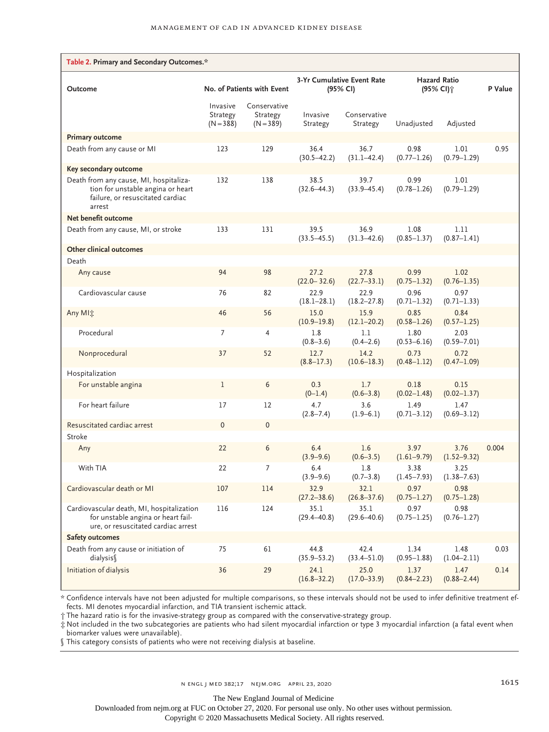| Table 2. Primary and Secondary Outcomes.*                                                                                 |                                     |                                         |                                               |                          |                                              |                         |         |
|---------------------------------------------------------------------------------------------------------------------------|-------------------------------------|-----------------------------------------|-----------------------------------------------|--------------------------|----------------------------------------------|-------------------------|---------|
| Outcome                                                                                                                   | No. of Patients with Event          |                                         | <b>3-Yr Cumulative Event Rate</b><br>(95% CI) |                          | <b>Hazard Ratio</b><br>(95% CI) <sup>+</sup> |                         | P Value |
|                                                                                                                           | Invasive<br>Strategy<br>$(N = 388)$ | Conservative<br>Strategy<br>$(N = 389)$ | Invasive<br>Strategy                          | Conservative<br>Strategy | Unadjusted                                   | Adjusted                |         |
| <b>Primary outcome</b>                                                                                                    |                                     |                                         |                                               |                          |                                              |                         |         |
| Death from any cause or MI                                                                                                | 123                                 | 129                                     | 36.4<br>$(30.5 - 42.2)$                       | 36.7<br>$(31.1 - 42.4)$  | 0.98<br>$(0.77 - 1.26)$                      | 1.01<br>$(0.79 - 1.29)$ | 0.95    |
| Key secondary outcome                                                                                                     |                                     |                                         |                                               |                          |                                              |                         |         |
| Death from any cause, MI, hospitaliza-<br>tion for unstable angina or heart<br>failure, or resuscitated cardiac<br>arrest | 132                                 | 138                                     | 38.5<br>$(32.6 - 44.3)$                       | 39.7<br>$(33.9 - 45.4)$  | 0.99<br>$(0.78 - 1.26)$                      | 1.01<br>$(0.79 - 1.29)$ |         |
| Net benefit outcome                                                                                                       |                                     |                                         |                                               |                          |                                              |                         |         |
| Death from any cause, MI, or stroke                                                                                       | 133                                 | 131                                     | 39.5<br>$(33.5 - 45.5)$                       | 36.9<br>$(31.3 - 42.6)$  | 1.08<br>$(0.85 - 1.37)$                      | 1.11<br>$(0.87 - 1.41)$ |         |
| Other clinical outcomes                                                                                                   |                                     |                                         |                                               |                          |                                              |                         |         |
| Death                                                                                                                     |                                     |                                         |                                               |                          |                                              |                         |         |
| Any cause                                                                                                                 | 94                                  | 98                                      | 27.2<br>$(22.0 - 32.6)$                       | 27.8<br>$(22.7 - 33.1)$  | 0.99<br>$(0.75 - 1.32)$                      | 1.02<br>$(0.76 - 1.35)$ |         |
| Cardiovascular cause                                                                                                      | 76                                  | 82                                      | 22.9<br>$(18.1 - 28.1)$                       | 22.9<br>$(18.2 - 27.8)$  | 0.96<br>$(0.71 - 1.32)$                      | 0.97<br>$(0.71 - 1.33)$ |         |
| Any MIt                                                                                                                   | 46                                  | 56                                      | 15.0<br>$(10.9 - 19.8)$                       | 15.9<br>$(12.1 - 20.2)$  | 0.85<br>$(0.58 - 1.26)$                      | 0.84<br>$(0.57 - 1.25)$ |         |
| Procedural                                                                                                                | $\overline{7}$                      | 4                                       | 1.8<br>$(0.8 - 3.6)$                          | 1.1<br>$(0.4 - 2.6)$     | 1.80<br>$(0.53 - 6.16)$                      | 2.03<br>$(0.59 - 7.01)$ |         |
| Nonprocedural                                                                                                             | 37                                  | 52                                      | 12.7<br>$(8.8 - 17.3)$                        | 14.2<br>$(10.6 - 18.3)$  | 0.73<br>$(0.48 - 1.12)$                      | 0.72<br>$(0.47 - 1.09)$ |         |
| Hospitalization                                                                                                           |                                     |                                         |                                               |                          |                                              |                         |         |
| For unstable angina                                                                                                       | $\mathbf{1}$                        | 6                                       | 0.3<br>$(0-1.4)$                              | 1.7<br>$(0.6 - 3.8)$     | 0.18<br>$(0.02 - 1.48)$                      | 0.15<br>$(0.02 - 1.37)$ |         |
| For heart failure                                                                                                         | 17                                  | 12                                      | 4.7<br>$(2.8 - 7.4)$                          | 3.6<br>$(1.9 - 6.1)$     | 1.49<br>$(0.71 - 3.12)$                      | 1.47<br>$(0.69 - 3.12)$ |         |
| Resuscitated cardiac arrest                                                                                               | $\mathbf 0$                         | 0                                       |                                               |                          |                                              |                         |         |
| Stroke                                                                                                                    |                                     |                                         |                                               |                          |                                              |                         |         |
| Any                                                                                                                       | 22                                  | 6                                       | 6.4<br>$(3.9 - 9.6)$                          | 1.6<br>$(0.6 - 3.5)$     | 3.97<br>$(1.61 - 9.79)$                      | 3.76<br>$(1.52 - 9.32)$ | 0.004   |
| With TIA                                                                                                                  | 22                                  | 7                                       | 6.4<br>$(3.9 - 9.6)$                          | 1.8<br>$(0.7 - 3.8)$     | 3.38<br>$(1.45 - 7.93)$                      | 3.25<br>$(1.38 - 7.63)$ |         |
| Cardiovascular death or MI                                                                                                | 107                                 | 114                                     | 32.9<br>$(27.2 - 38.6)$                       | 32.1<br>$(26.8 - 37.6)$  | 0.97<br>$(0.75 - 1.27)$                      | 0.98<br>$(0.75 - 1.28)$ |         |
| Cardiovascular death, MI, hospitalization<br>for unstable angina or heart fail-<br>ure, or resuscitated cardiac arrest    | 116                                 | 124                                     | 35.1<br>$(29.4 - 40.8)$                       | 35.1<br>$(29.6 - 40.6)$  | 0.97<br>$(0.75 - 1.25)$                      | 0.98<br>$(0.76 - 1.27)$ |         |
| <b>Safety outcomes</b>                                                                                                    |                                     |                                         |                                               |                          |                                              |                         |         |
| Death from any cause or initiation of<br>dialysis¶                                                                        | 75                                  | 61                                      | 44.8<br>$(35.9 - 53.2)$                       | 42.4<br>$(33.4 - 51.0)$  | 1.34<br>$(0.95 - 1.88)$                      | 1.48<br>$(1.04 - 2.11)$ | 0.03    |
| Initiation of dialysis                                                                                                    | 36                                  | 29                                      | 24.1<br>$(16.8 - 32.2)$                       | 25.0<br>$(17.0 - 33.9)$  | 1.37<br>$(0.84 - 2.23)$                      | 1.47<br>$(0.88 - 2.44)$ | 0.14    |

\* Confidence intervals have not been adjusted for multiple comparisons, so these intervals should not be used to infer definitive treatment effects. MI denotes myocardial infarction, and TIA transient ischemic attack.

† The hazard ratio is for the invasive-strategy group as compared with the conservative-strategy group.

‡ Not included in the two subcategories are patients who had silent myocardial infarction or type 3 myocardial infarction (a fatal event when biomarker values were unavailable).

§ This category consists of patients who were not receiving dialysis at baseline.

The New England Journal of Medicine

Downloaded from nejm.org at FUC on October 27, 2020. For personal use only. No other uses without permission.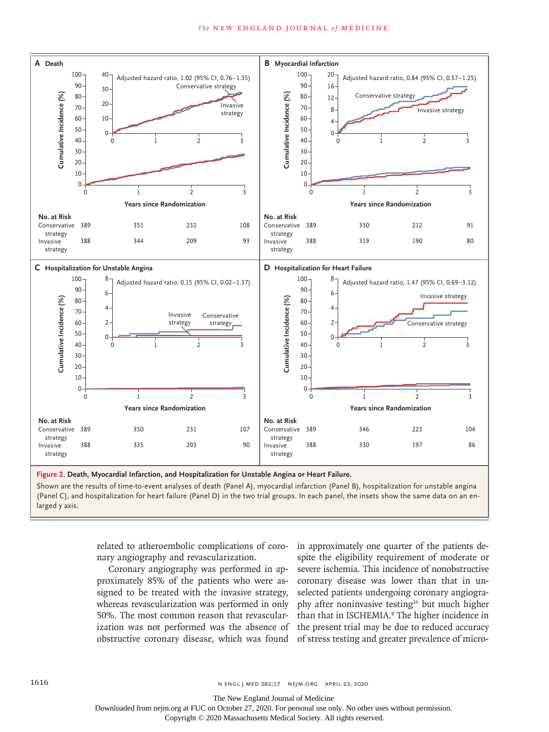

**Figure 2. Death, Myocardial Infarction, and Hospitalization for Unstable Angina or Heart Failure.**

Shown are the results of time-to-event analyses of death (Panel A), myocardial infarction (Panel B), hospitalization for unstable angina (Panel C), and hospitalization for heart failure (Panel D) in the two trial groups. In each panel, the insets show the same data on an enlarged y axis.

> related to atheroembolic complications of coro-in approximately one quarter of the patients denary angiography and revascularization.

> Coronary angiography was performed in approximately 85% of the patients who were assigned to be treated with the invasive strategy, whereas revascularization was performed in only 50%. The most common reason that revascularobstructive coronary disease, which was found of stress testing and greater prevalence of micro-

> ization was not performed was the absence of the present trial may be due to reduced accuracy spite the eligibility requirement of moderate or severe ischemia. This incidence of nonobstructive coronary disease was lower than that in unselected patients undergoing coronary angiography after noninvasive testing<sup>16</sup> but much higher than that in ISCHEMIA.<sup>8</sup> The higher incidence in

The New England Journal of Medicine

Downloaded from nejm.org at FUC on October 27, 2020. For personal use only. No other uses without permission.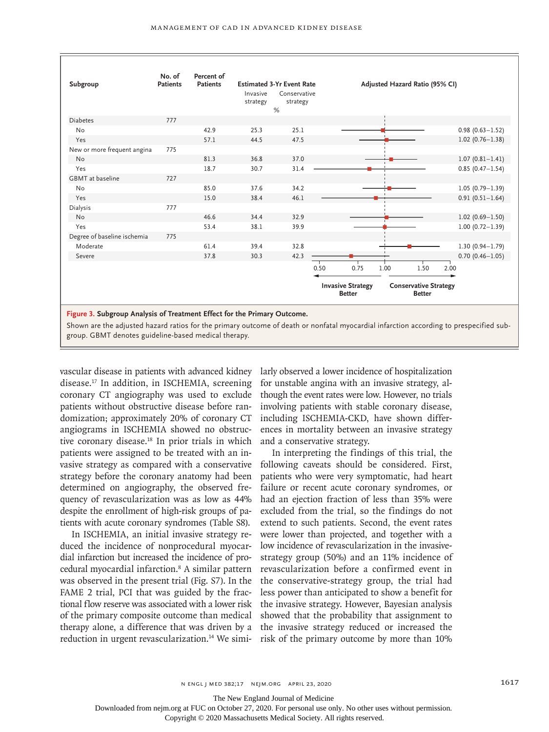| Subgroup                    | No. of<br><b>Patients</b> | Percent of<br><b>Patients</b> | <b>Estimated 3-Yr Event Rate</b><br>Invasive<br>strategy | Conservative<br>strategy<br>% |                                           |      |      | Adjusted Hazard Ratio (95% CI)                |      |                     |
|-----------------------------|---------------------------|-------------------------------|----------------------------------------------------------|-------------------------------|-------------------------------------------|------|------|-----------------------------------------------|------|---------------------|
| <b>Diabetes</b>             | 777                       |                               |                                                          |                               |                                           |      |      |                                               |      |                     |
| No                          |                           | 42.9                          | 25.3                                                     | 25.1                          |                                           |      |      |                                               |      | $0.98(0.63 - 1.52)$ |
| Yes                         |                           | 57.1                          | 44.5                                                     | 47.5                          |                                           |      |      |                                               |      | $1.02(0.76 - 1.38)$ |
| New or more frequent angina | 775                       |                               |                                                          |                               |                                           |      |      |                                               |      |                     |
| <b>No</b>                   |                           | 81.3                          | 36.8                                                     | 37.0                          |                                           |      |      |                                               |      | $1.07(0.81 - 1.41)$ |
| Yes                         |                           | 18.7                          | 30.7                                                     | 31.4                          |                                           |      |      |                                               |      | $0.85(0.47 - 1.54)$ |
| <b>GBMT</b> at baseline     | 727                       |                               |                                                          |                               |                                           |      |      |                                               |      |                     |
| No                          |                           | 85.0                          | 37.6                                                     | 34.2                          |                                           |      |      |                                               |      | $1.05(0.79 - 1.39)$ |
| Yes                         |                           | 15.0                          | 38.4                                                     | 46.1                          |                                           |      |      |                                               |      | $0.91(0.51 - 1.64)$ |
| Dialysis                    | 777                       |                               |                                                          |                               |                                           |      |      |                                               |      |                     |
| <b>No</b>                   |                           | 46.6                          | 34.4                                                     | 32.9                          |                                           |      |      |                                               |      | $1.02(0.69 - 1.50)$ |
| Yes                         |                           | 53.4                          | 38.1                                                     | 39.9                          |                                           |      |      |                                               |      | $1.00(0.72 - 1.39)$ |
| Degree of baseline ischemia | 775                       |                               |                                                          |                               |                                           |      |      |                                               |      |                     |
| Moderate                    |                           | 61.4                          | 39.4                                                     | 32.8                          |                                           |      |      |                                               |      | $1.30(0.94 - 1.79)$ |
| Severe                      |                           | 37.8                          | 30.3                                                     | 42.3                          |                                           |      |      |                                               |      | $0.70(0.46 - 1.05)$ |
|                             |                           |                               |                                                          |                               | 0.50                                      | 0.75 | 1.00 | 1.50                                          | 2.00 |                     |
|                             |                           |                               |                                                          |                               | <b>Invasive Strategy</b><br><b>Better</b> |      |      | <b>Conservative Strategy</b><br><b>Better</b> |      |                     |

**Figure 3. Subgroup Analysis of Treatment Effect for the Primary Outcome.**

Shown are the adjusted hazard ratios for the primary outcome of death or nonfatal myocardial infarction according to prespecified subgroup. GBMT denotes guideline-based medical therapy.

vascular disease in patients with advanced kidney disease.17 In addition, in ISCHEMIA, screening coronary CT angiography was used to exclude patients without obstructive disease before randomization; approximately 20% of coronary CT angiograms in ISCHEMIA showed no obstructive coronary disease.<sup>18</sup> In prior trials in which patients were assigned to be treated with an invasive strategy as compared with a conservative strategy before the coronary anatomy had been determined on angiography, the observed frequency of revascularization was as low as 44% despite the enrollment of high-risk groups of patients with acute coronary syndromes (Table S8).

In ISCHEMIA, an initial invasive strategy reduced the incidence of nonprocedural myocardial infarction but increased the incidence of procedural myocardial infarction.8 A similar pattern was observed in the present trial (Fig. S7). In the FAME 2 trial, PCI that was guided by the fractional flow reserve was associated with a lower risk of the primary composite outcome than medical therapy alone, a difference that was driven by a reduction in urgent revascularization.<sup>14</sup> We simi- risk of the primary outcome by more than 10%

larly observed a lower incidence of hospitalization for unstable angina with an invasive strategy, although the event rates were low. However, no trials involving patients with stable coronary disease, including ISCHEMIA-CKD, have shown differences in mortality between an invasive strategy and a conservative strategy.

In interpreting the findings of this trial, the following caveats should be considered. First, patients who were very symptomatic, had heart failure or recent acute coronary syndromes, or had an ejection fraction of less than 35% were excluded from the trial, so the findings do not extend to such patients. Second, the event rates were lower than projected, and together with a low incidence of revascularization in the invasivestrategy group (50%) and an 11% incidence of revascularization before a confirmed event in the conservative-strategy group, the trial had less power than anticipated to show a benefit for the invasive strategy. However, Bayesian analysis showed that the probability that assignment to the invasive strategy reduced or increased the

The New England Journal of Medicine

Downloaded from nejm.org at FUC on October 27, 2020. For personal use only. No other uses without permission.